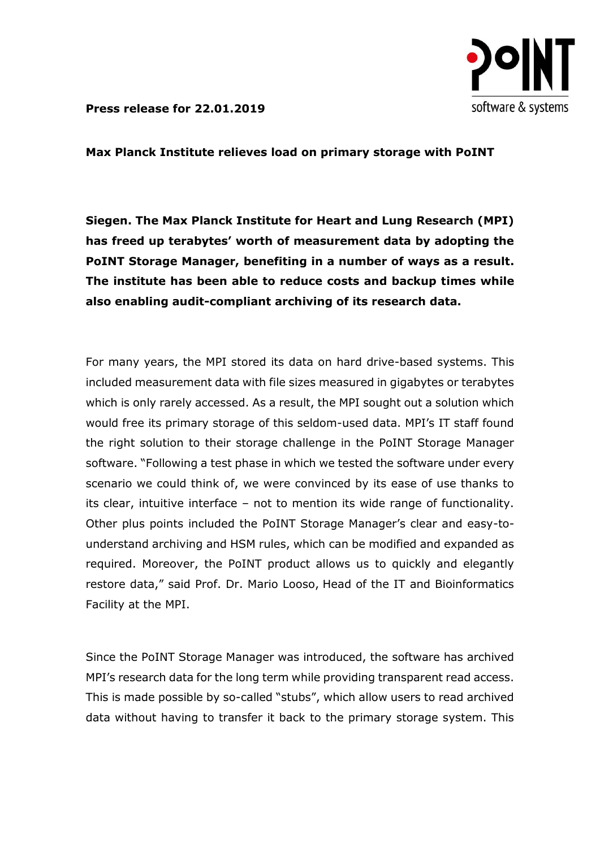

**Press release for 22.01.2019**

**Max Planck Institute relieves load on primary storage with PoINT**

**Siegen. The Max Planck Institute for Heart and Lung Research (MPI) has freed up terabytes' worth of measurement data by adopting the PoINT Storage Manager, benefiting in a number of ways as a result. The institute has been able to reduce costs and backup times while also enabling audit-compliant archiving of its research data.**

For many years, the MPI stored its data on hard drive-based systems. This included measurement data with file sizes measured in gigabytes or terabytes which is only rarely accessed. As a result, the MPI sought out a solution which would free its primary storage of this seldom-used data. MPI's IT staff found the right solution to their storage challenge in the PoINT Storage Manager software. "Following a test phase in which we tested the software under every scenario we could think of, we were convinced by its ease of use thanks to its clear, intuitive interface – not to mention its wide range of functionality. Other plus points included the PoINT Storage Manager's clear and easy-tounderstand archiving and HSM rules, which can be modified and expanded as required. Moreover, the PoINT product allows us to quickly and elegantly restore data," said Prof. Dr. Mario Looso, Head of the IT and Bioinformatics Facility at the MPI.

Since the PoINT Storage Manager was introduced, the software has archived MPI's research data for the long term while providing transparent read access. This is made possible by so-called "stubs", which allow users to read archived data without having to transfer it back to the primary storage system. This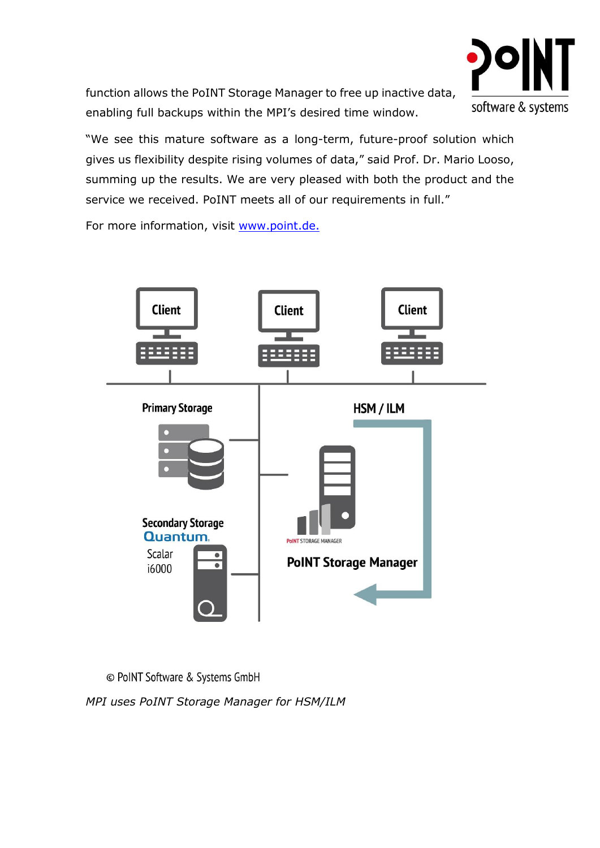

function allows the PoINT Storage Manager to free up inactive data, enabling full backups within the MPI's desired time window.

"We see this mature software as a long-term, future-proof solution which gives us flexibility despite rising volumes of data," said Prof. Dr. Mario Looso, summing up the results. We are very pleased with both the product and the service we received. PoINT meets all of our requirements in full."

For more information, visit [www.point.de.](https://www.point.de/)



© PoINT Software & Systems GmbH

*MPI uses PoINT Storage Manager for HSM/ILM*